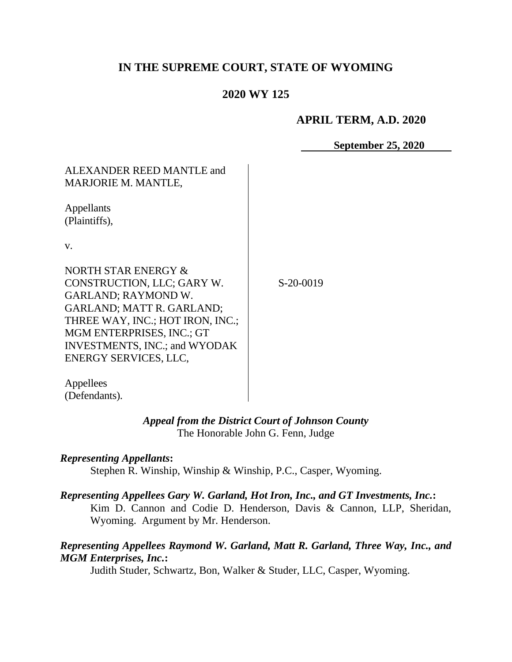# **IN THE SUPREME COURT, STATE OF WYOMING**

# **2020 WY 125**

#### **APRIL TERM, A.D. 2020**

**September 25, 2020**

| ALEXANDER REED MANTLE and<br><b>MARJORIE M. MANTLE,</b>                                                                                                                                                                                                      |           |
|--------------------------------------------------------------------------------------------------------------------------------------------------------------------------------------------------------------------------------------------------------------|-----------|
| Appellants<br>(Plaintiffs),                                                                                                                                                                                                                                  |           |
| V.                                                                                                                                                                                                                                                           |           |
| NORTH STAR ENERGY &<br>CONSTRUCTION, LLC; GARY W.<br><b>GARLAND; RAYMOND W.</b><br><b>GARLAND; MATT R. GARLAND;</b><br>THREE WAY, INC.; HOT IRON, INC.;<br><b>MGM ENTERPRISES, INC.; GT</b><br><b>INVESTMENTS, INC.; and WYODAK</b><br>ENERGY SERVICES, LLC, | S-20-0019 |

Appellees (Defendants).

#### *Appeal from the District Court of Johnson County* The Honorable John G. Fenn, Judge

#### *Representing Appellants***:**

Stephen R. Winship, Winship & Winship, P.C., Casper, Wyoming.

#### *Representing Appellees Gary W. Garland, Hot Iron, Inc., and GT Investments, Inc.***:**

Kim D. Cannon and Codie D. Henderson, Davis & Cannon, LLP, Sheridan, Wyoming. Argument by Mr. Henderson.

#### *Representing Appellees Raymond W. Garland, Matt R. Garland, Three Way, Inc., and MGM Enterprises, Inc.***:**

Judith Studer, Schwartz, Bon, Walker & Studer, LLC, Casper, Wyoming.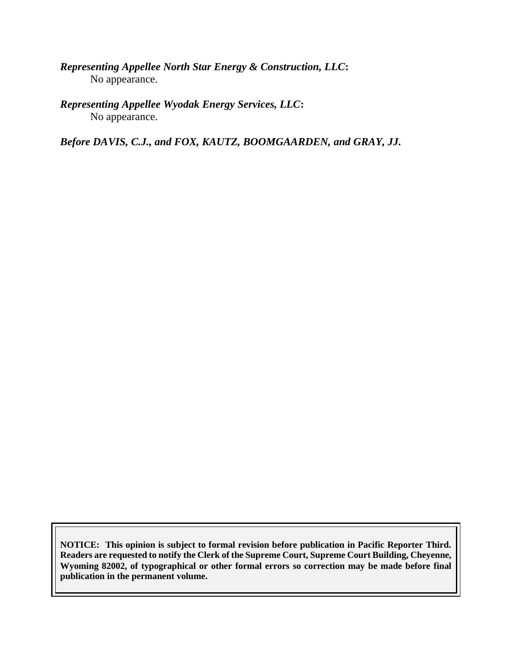*Representing Appellee North Star Energy & Construction, LLC***:** No appearance.

*Representing Appellee Wyodak Energy Services, LLC***:** No appearance.

*Before DAVIS, C.J., and FOX, KAUTZ, BOOMGAARDEN, and GRAY, JJ.*

**NOTICE: This opinion is subject to formal revision before publication in Pacific Reporter Third. Readers are requested to notify the Clerk of the Supreme Court, Supreme Court Building, Cheyenne, Wyoming 82002, of typographical or other formal errors so correction may be made before final publication in the permanent volume.**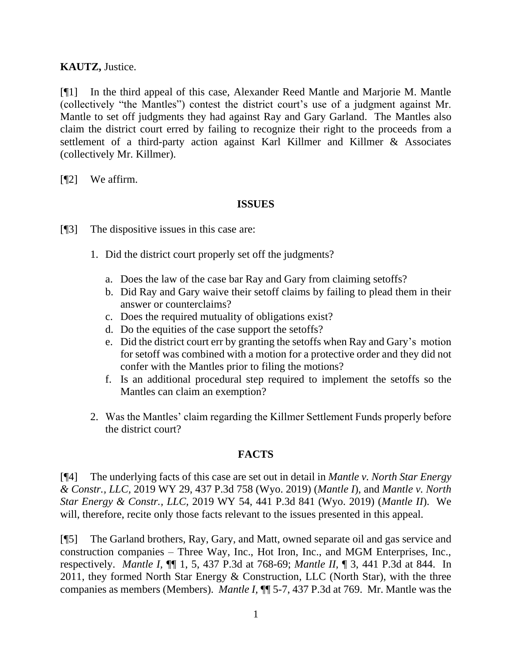#### **KAUTZ,** Justice.

[¶1] In the third appeal of this case, Alexander Reed Mantle and Marjorie M. Mantle (collectively "the Mantles") contest the district court's use of a judgment against Mr. Mantle to set off judgments they had against Ray and Gary Garland. The Mantles also claim the district court erred by failing to recognize their right to the proceeds from a settlement of a third-party action against Karl Killmer and Killmer & Associates (collectively Mr. Killmer).

[¶2] We affirm.

#### **ISSUES**

[¶3] The dispositive issues in this case are:

- 1. Did the district court properly set off the judgments?
	- a. Does the law of the case bar Ray and Gary from claiming setoffs?
	- b. Did Ray and Gary waive their setoff claims by failing to plead them in their answer or counterclaims?
	- c. Does the required mutuality of obligations exist?
	- d. Do the equities of the case support the setoffs?
	- e. Did the district court err by granting the setoffs when Ray and Gary's motion for setoff was combined with a motion for a protective order and they did not confer with the Mantles prior to filing the motions?
	- f. Is an additional procedural step required to implement the setoffs so the Mantles can claim an exemption?
- 2. Was the Mantles' claim regarding the Killmer Settlement Funds properly before the district court?

# **FACTS**

[¶4] The underlying facts of this case are set out in detail in *Mantle v. North Star Energy & Constr., LLC,* 2019 WY 29, 437 P.3d 758 (Wyo. 2019) (*Mantle I*), and *Mantle v. North Star Energy & Constr., LLC,* 2019 WY 54, 441 P.3d 841 (Wyo. 2019) (*Mantle II*). We will, therefore, recite only those facts relevant to the issues presented in this appeal.

[¶5] The Garland brothers, Ray, Gary, and Matt, owned separate oil and gas service and construction companies – Three Way, Inc., Hot Iron, Inc., and MGM Enterprises, Inc., respectively. *Mantle I,* ¶¶ 1, 5, 437 P.3d at 768-69; *Mantle II,* ¶ 3, 441 P.3d at 844. In 2011, they formed North Star Energy  $&$  Construction, LLC (North Star), with the three companies as members (Members). *Mantle I,* ¶¶ 5-7, 437 P.3d at 769. Mr. Mantle was the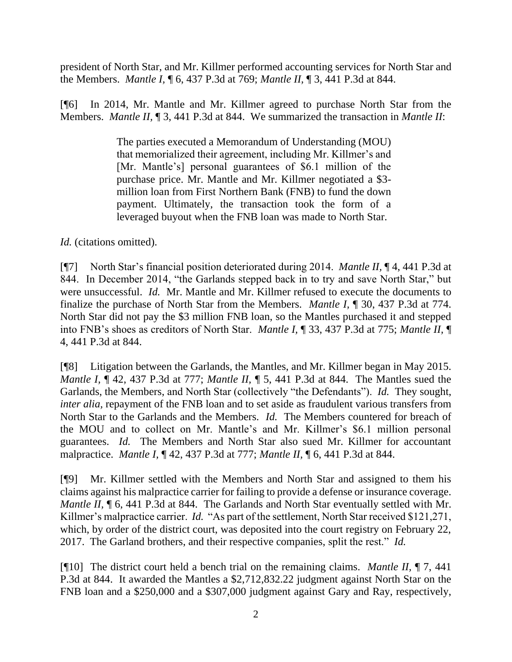president of North Star, and Mr. Killmer performed accounting services for North Star and the Members. *Mantle I,* ¶ 6, 437 P.3d at 769; *Mantle II,* ¶ 3, 441 P.3d at 844.

[¶6] In 2014, Mr. Mantle and Mr. Killmer agreed to purchase North Star from the Members. *Mantle II,* ¶ 3, 441 P.3d at 844. We summarized the transaction in *Mantle II*:

> The parties executed a Memorandum of Understanding (MOU) that memorialized their agreement, including Mr. Killmer's and [Mr. Mantle's] personal guarantees of \$6.1 million of the purchase price. Mr. Mantle and Mr. Killmer negotiated a \$3 million loan from First Northern Bank (FNB) to fund the down payment. Ultimately, the transaction took the form of a leveraged buyout when the FNB loan was made to North Star.

*Id.* (citations omitted).

[¶7] North Star's financial position deteriorated during 2014. *Mantle II,* ¶ 4, 441 P.3d at 844. In December 2014, "the Garlands stepped back in to try and save North Star," but were unsuccessful. *Id.* Mr. Mantle and Mr. Killmer refused to execute the documents to finalize the purchase of North Star from the Members. *Mantle I,* ¶ 30, 437 P.3d at 774. North Star did not pay the \$3 million FNB loan, so the Mantles purchased it and stepped into FNB's shoes as creditors of North Star. *Mantle I,* ¶ 33, 437 P.3d at 775; *Mantle II,* ¶ 4, 441 P.3d at 844.

[¶8] Litigation between the Garlands, the Mantles, and Mr. Killmer began in May 2015. *Mantle I,* ¶ 42, 437 P.3d at 777; *Mantle II,* ¶ 5, 441 P.3d at 844. The Mantles sued the Garlands, the Members, and North Star (collectively "the Defendants"). *Id.* They sought, *inter alia,* repayment of the FNB loan and to set aside as fraudulent various transfers from North Star to the Garlands and the Members. *Id.* The Members countered for breach of the MOU and to collect on Mr. Mantle's and Mr. Killmer's \$6.1 million personal guarantees. *Id.* The Members and North Star also sued Mr. Killmer for accountant malpractice. *Mantle I,* ¶ 42, 437 P.3d at 777; *Mantle II,* ¶ 6, 441 P.3d at 844.

[¶9] Mr. Killmer settled with the Members and North Star and assigned to them his claims against his malpractice carrier for failing to provide a defense or insurance coverage. *Mantle II*, **[6, 441 P.3d at 844.** The Garlands and North Star eventually settled with Mr. Killmer's malpractice carrier. *Id.* "As part of the settlement, North Star received \$121,271, which, by order of the district court, was deposited into the court registry on February 22, 2017. The Garland brothers, and their respective companies, split the rest." *Id.* 

[¶10] The district court held a bench trial on the remaining claims. *Mantle II,* ¶ 7, 441 P.3d at 844. It awarded the Mantles a \$2,712,832.22 judgment against North Star on the FNB loan and a \$250,000 and a \$307,000 judgment against Gary and Ray, respectively,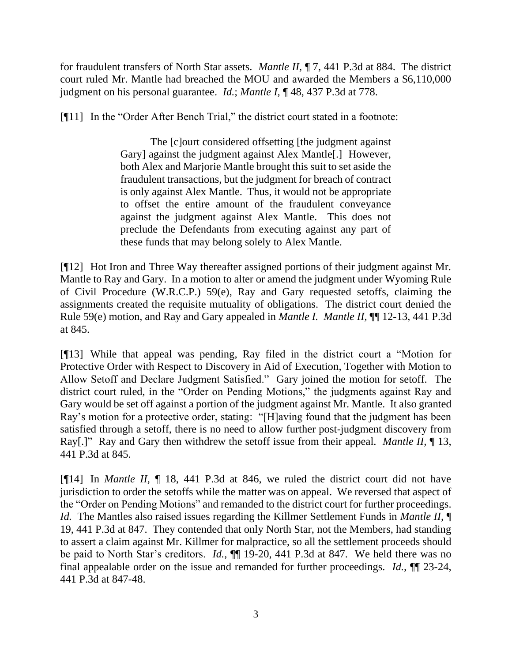for fraudulent transfers of North Star assets. *Mantle II,* ¶ 7, 441 P.3d at 884. The district court ruled Mr. Mantle had breached the MOU and awarded the Members a \$6,110,000 judgment on his personal guarantee. *Id.*; *Mantle I,* ¶ 48, 437 P.3d at 778.

[¶11] In the "Order After Bench Trial," the district court stated in a footnote:

The [c]ourt considered offsetting [the judgment against Gary] against the judgment against Alex Mantle[.] However, both Alex and Marjorie Mantle brought this suit to set aside the fraudulent transactions, but the judgment for breach of contract is only against Alex Mantle. Thus, it would not be appropriate to offset the entire amount of the fraudulent conveyance against the judgment against Alex Mantle. This does not preclude the Defendants from executing against any part of these funds that may belong solely to Alex Mantle.

[¶12] Hot Iron and Three Way thereafter assigned portions of their judgment against Mr. Mantle to Ray and Gary. In a motion to alter or amend the judgment under Wyoming Rule of Civil Procedure (W.R.C.P.) 59(e), Ray and Gary requested setoffs, claiming the assignments created the requisite mutuality of obligations. The district court denied the Rule 59(e) motion, and Ray and Gary appealed in *Mantle I. Mantle II,* ¶¶ 12-13, 441 P.3d at 845.

[¶13] While that appeal was pending, Ray filed in the district court a "Motion for Protective Order with Respect to Discovery in Aid of Execution, Together with Motion to Allow Setoff and Declare Judgment Satisfied." Gary joined the motion for setoff. The district court ruled, in the "Order on Pending Motions," the judgments against Ray and Gary would be set off against a portion of the judgment against Mr. Mantle. It also granted Ray's motion for a protective order, stating: "[H]aving found that the judgment has been satisfied through a setoff, there is no need to allow further post-judgment discovery from Ray[.]" Ray and Gary then withdrew the setoff issue from their appeal. *Mantle II,* ¶ 13, 441 P.3d at 845.

[¶14] In *Mantle II,* ¶ 18, 441 P.3d at 846, we ruled the district court did not have jurisdiction to order the setoffs while the matter was on appeal. We reversed that aspect of the "Order on Pending Motions" and remanded to the district court for further proceedings. *Id.* The Mantles also raised issues regarding the Killmer Settlement Funds in *Mantle II,* ¶ 19, 441 P.3d at 847. They contended that only North Star, not the Members, had standing to assert a claim against Mr. Killmer for malpractice, so all the settlement proceeds should be paid to North Star's creditors. *Id.*, ¶¶ 19-20, 441 P.3d at 847. We held there was no final appealable order on the issue and remanded for further proceedings. *Id.,* ¶¶ 23-24, 441 P.3d at 847-48.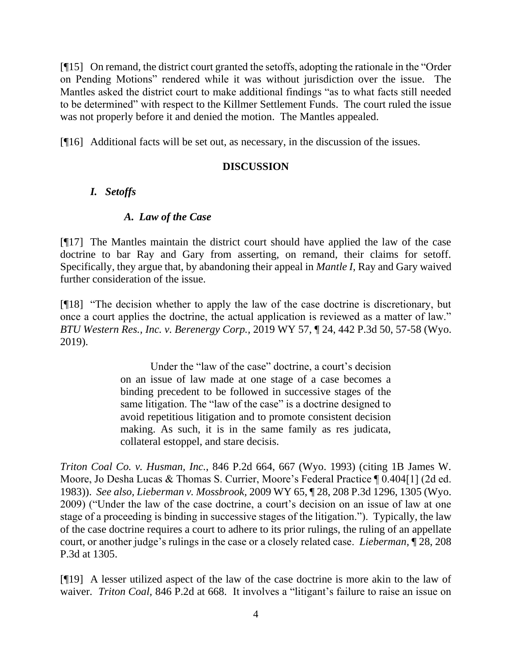[¶15] On remand, the district court granted the setoffs, adopting the rationale in the "Order on Pending Motions" rendered while it was without jurisdiction over the issue. The Mantles asked the district court to make additional findings "as to what facts still needed to be determined" with respect to the Killmer Settlement Funds. The court ruled the issue was not properly before it and denied the motion. The Mantles appealed.

[¶16] Additional facts will be set out, as necessary, in the discussion of the issues.

# **DISCUSSION**

# *I. Setoffs*

# *A. Law of the Case*

[¶17] The Mantles maintain the district court should have applied the law of the case doctrine to bar Ray and Gary from asserting, on remand, their claims for setoff. Specifically, they argue that, by abandoning their appeal in *Mantle I,* Ray and Gary waived further consideration of the issue.

[¶18] "The decision whether to apply the law of the case doctrine is discretionary, but once a court applies the doctrine, the actual application is reviewed as a matter of law." *BTU Western Res., Inc. v. Berenergy Corp.,* 2019 WY 57, ¶ 24, 442 P.3d 50, 57-58 (Wyo. 2019).

> Under the "law of the case" doctrine, a court's decision on an issue of law made at one stage of a case becomes a binding precedent to be followed in successive stages of the same litigation. The "law of the case" is a doctrine designed to avoid repetitious litigation and to promote consistent decision making. As such, it is in the same family as res judicata, collateral estoppel, and stare decisis.

*Triton Coal Co. v. Husman, Inc.*, 846 P.2d 664, 667 (Wyo. 1993) (citing 1B James W. Moore, Jo Desha Lucas & Thomas S. Currier, Moore's Federal Practice ¶ 0.404[1] (2d ed. 1983)). *See also, Lieberman v. Mossbrook,* 2009 WY 65, ¶ 28, 208 P.3d 1296, 1305 (Wyo. 2009) ("Under the law of the case doctrine, a court's decision on an issue of law at one stage of a proceeding is binding in successive stages of the litigation."). Typically, the law of the case doctrine requires a court to adhere to its prior rulings, the ruling of an appellate court, or another judge's rulings in the case or a closely related case. *Lieberman,* ¶ 28, 208 P.3d at 1305.

[¶19] A lesser utilized aspect of the law of the case doctrine is more akin to the law of waiver. *Triton Coal,* 846 P.2d at 668. It involves a "litigant's failure to raise an issue on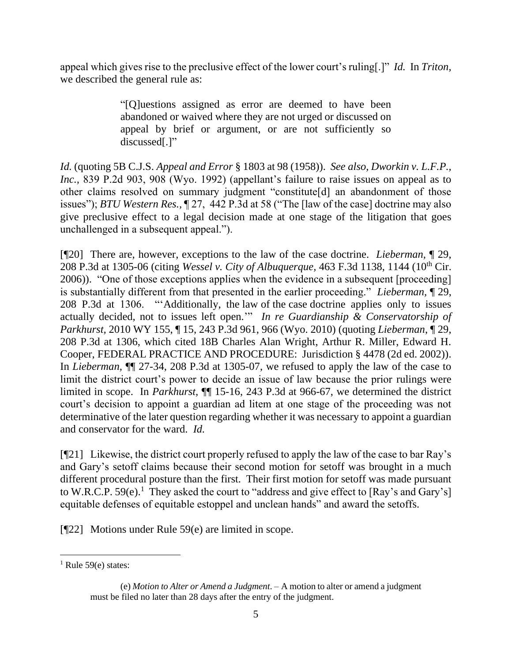appeal which gives rise to the preclusive effect of the lower court's ruling[.]" *Id.* In *Triton,*  we described the general rule as:

> "[Q]uestions assigned as error are deemed to have been abandoned or waived where they are not urged or discussed on appeal by brief or argument, or are not sufficiently so discussed[.]"

*Id.* (quoting 5B C.J.S. *Appeal and Error* § 1803 at 98 (1958)). *See also, Dworkin v. L.F.P., Inc.,* 839 P.2d 903, 908 (Wyo. 1992) (appellant's failure to raise issues on appeal as to other claims resolved on summary judgment "constitute[d] an abandonment of those issues"); *BTU Western Res.,* ¶ 27, 442 P.3d at 58 ("The [law of the case] doctrine may also give preclusive effect to a legal decision made at one stage of the litigation that goes unchallenged in a subsequent appeal.").

[¶20] There are, however, exceptions to the law of the case doctrine. *Lieberman,* ¶ 29, 208 P.3d at 1305-06 (citing *Wessel v. City of Albuquerque,* 463 F.3d 1138, 1144 (10th Cir. 2006)). "One of those exceptions applies when the evidence in a subsequent [proceeding] is substantially different from that presented in the earlier proceeding." *Lieberman,* ¶ 29, 208 P.3d at 1306. "'Additionally, the law of the case doctrine applies only to issues actually decided, not to issues left open.'" *In re Guardianship & Conservatorship of Parkhurst,* 2010 WY 155, ¶ 15, 243 P.3d 961, 966 (Wyo. 2010) (quoting *Lieberman*, ¶ 29, 208 P.3d at 1306, which cited 18B Charles Alan Wright, Arthur R. Miller, Edward H. Cooper, FEDERAL PRACTICE AND PROCEDURE: Jurisdiction § 4478 (2d ed. 2002)). In *Lieberman,* ¶¶ 27-34, 208 P.3d at 1305-07, we refused to apply the law of the case to limit the district court's power to decide an issue of law because the prior rulings were limited in scope. In *Parkhurst,* ¶¶ 15-16, 243 P.3d at 966-67, we determined the district court's decision to appoint a guardian ad litem at one stage of the proceeding was not determinative of the later question regarding whether it was necessary to appoint a guardian and conservator for the ward. *Id.* 

[¶21] Likewise, the district court properly refused to apply the law of the case to bar Ray's and Gary's setoff claims because their second motion for setoff was brought in a much different procedural posture than the first. Their first motion for setoff was made pursuant to W.R.C.P. 59 $(e)$ .<sup>1</sup> They asked the court to "address and give effect to [Ray's and Gary's] equitable defenses of equitable estoppel and unclean hands" and award the setoffs.

[¶22] Motions under Rule 59(e) are limited in scope.

 $<sup>1</sup>$  Rule 59(e) states:</sup>

<sup>(</sup>e) *Motion to Alter or Amend a Judgment*. – A motion to alter or amend a judgment must be filed no later than 28 days after the entry of the judgment.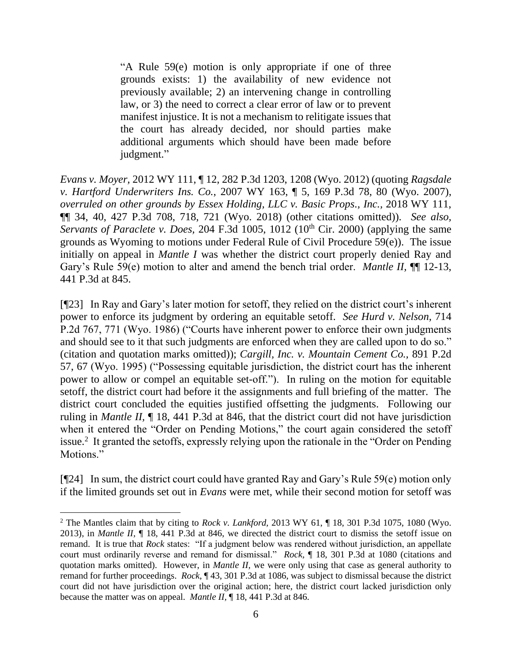"A Rule 59(e) motion is only appropriate if one of three grounds exists: 1) the availability of new evidence not previously available; 2) an intervening change in controlling law, or 3) the need to correct a clear error of law or to prevent manifest injustice. It is not a mechanism to relitigate issues that the court has already decided, nor should parties make additional arguments which should have been made before judgment."

*Evans v. Moyer,* 2012 WY 111, ¶ 12, 282 P.3d 1203, 1208 (Wyo. 2012) (quoting *Ragsdale v. Hartford Underwriters Ins. Co.*, 2007 WY 163, ¶ 5, 169 P.3d 78, 80 (Wyo. 2007), *overruled on other grounds by Essex Holding, LLC v. Basic Props., Inc.,* 2018 WY 111, ¶¶ 34, 40, 427 P.3d 708, 718, 721 (Wyo. 2018) (other citations omitted)). *See also, Servants of Paraclete v. Does, 204 F.3d 1005, 1012 (10<sup>th</sup> Cir. 2000) (applying the same* grounds as Wyoming to motions under Federal Rule of Civil Procedure 59(e)). The issue initially on appeal in *Mantle I* was whether the district court properly denied Ray and Gary's Rule 59(e) motion to alter and amend the bench trial order. *Mantle II*, **¶** 12-13, 441 P.3d at 845.

[¶23] In Ray and Gary's later motion for setoff, they relied on the district court's inherent power to enforce its judgment by ordering an equitable setoff. *See Hurd v. Nelson,* 714 P.2d 767, 771 (Wyo. 1986) ("Courts have inherent power to enforce their own judgments and should see to it that such judgments are enforced when they are called upon to do so." (citation and quotation marks omitted)); *Cargill, Inc. v. Mountain Cement Co.,* 891 P.2d 57, 67 (Wyo. 1995) ("Possessing equitable jurisdiction, the district court has the inherent power to allow or compel an equitable set-off."). In ruling on the motion for equitable setoff, the district court had before it the assignments and full briefing of the matter. The district court concluded the equities justified offsetting the judgments. Following our ruling in *Mantle II,* ¶ 18, 441 P.3d at 846, that the district court did not have jurisdiction when it entered the "Order on Pending Motions," the court again considered the setoff issue.<sup>2</sup> It granted the setoffs, expressly relying upon the rationale in the "Order on Pending Motions."

[¶24] In sum, the district court could have granted Ray and Gary's Rule 59(e) motion only if the limited grounds set out in *Evans* were met, while their second motion for setoff was

<sup>2</sup> The Mantles claim that by citing to *Rock v. Lankford,* 2013 WY 61, ¶ 18, 301 P.3d 1075, 1080 (Wyo. 2013), in *Mantle II,* ¶ 18, 441 P.3d at 846, we directed the district court to dismiss the setoff issue on remand. It is true that *Rock* states: "If a judgment below was rendered without jurisdiction, an appellate court must ordinarily reverse and remand for dismissal." *Rock,* ¶ 18, 301 P.3d at 1080 (citations and quotation marks omitted). However, in *Mantle II,* we were only using that case as general authority to remand for further proceedings. *Rock*, ¶ 43, 301 P.3d at 1086, was subject to dismissal because the district court did not have jurisdiction over the original action; here, the district court lacked jurisdiction only because the matter was on appeal. *Mantle II,* ¶ 18, 441 P.3d at 846.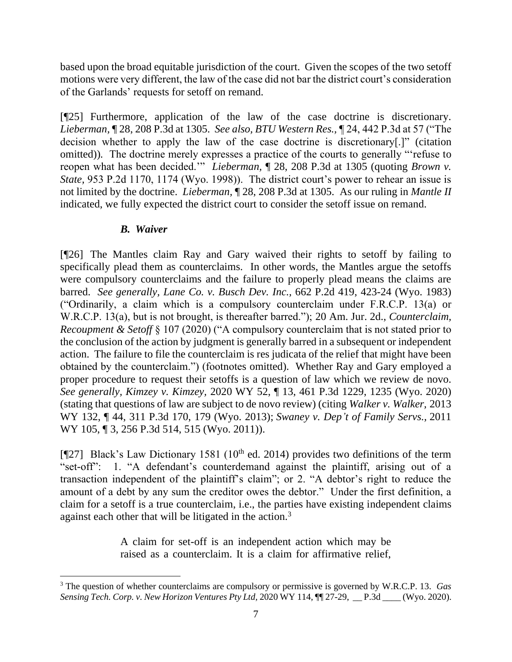based upon the broad equitable jurisdiction of the court. Given the scopes of the two setoff motions were very different, the law of the case did not bar the district court's consideration of the Garlands' requests for setoff on remand.

[¶25] Furthermore, application of the law of the case doctrine is discretionary. *Lieberman,* ¶ 28, 208 P.3d at 1305. *See also, BTU Western Res.,* ¶ 24, 442 P.3d at 57 ("The decision whether to apply the law of the case doctrine is discretionary[.]" (citation omitted))*.* The doctrine merely expresses a practice of the courts to generally "'refuse to reopen what has been decided.'" *Lieberman,* ¶ 28, 208 P.3d at 1305 (quoting *Brown v. State,* 953 P.2d 1170, 1174 (Wyo. 1998)). The district court's power to rehear an issue is not limited by the doctrine. *Lieberman,* ¶ 28, 208 P.3d at 1305.As our ruling in *Mantle II*  indicated, we fully expected the district court to consider the setoff issue on remand.

# *B. Waiver*

[¶26] The Mantles claim Ray and Gary waived their rights to setoff by failing to specifically plead them as counterclaims. In other words, the Mantles argue the setoffs were compulsory counterclaims and the failure to properly plead means the claims are barred. *See generally, Lane Co. v. Busch Dev. Inc.,* 662 P.2d 419, 423-24 (Wyo. 1983) ("Ordinarily, a claim which is a compulsory counterclaim under F.R.C.P. 13(a) or W.R.C.P. 13(a), but is not brought, is thereafter barred."); 20 Am. Jur. 2d., *Counterclaim, Recoupment & Setoff* § 107 (2020) ("A compulsory counterclaim that is not stated prior to the conclusion of the action by judgment is generally barred in a subsequent or independent action. The failure to file the counterclaim is res judicata of the relief that might have been obtained by the counterclaim.") (footnotes omitted). Whether Ray and Gary employed a proper procedure to request their setoffs is a question of law which we review de novo. *See generally, Kimzey v. Kimzey,* 2020 WY 52, ¶ 13, 461 P.3d 1229, 1235 (Wyo. 2020) (stating that questions of law are subject to de novo review) (citing *Walker v. Walker,* 2013 WY 132, ¶ 44, 311 P.3d 170, 179 (Wyo. 2013); *Swaney v. Dep't of Family Servs.,* 2011 WY 105, 13, 256 P.3d 514, 515 (Wyo. 2011)).

[ $[$ [27] Black's Law Dictionary 1581 (10<sup>th</sup> ed. 2014) provides two definitions of the term "set-off": 1. "A defendant's counterdemand against the plaintiff, arising out of a transaction independent of the plaintiff's claim"; or 2. "A debtor's right to reduce the amount of a debt by any sum the creditor owes the debtor." Under the first definition, a claim for a setoff is a true counterclaim, i.e., the parties have existing independent claims against each other that will be litigated in the action.<sup>3</sup>

> A claim for set-off is an independent action which may be raised as a counterclaim. It is a claim for affirmative relief,

<sup>3</sup> The question of whether counterclaims are compulsory or permissive is governed by W.R.C.P. 13. *Gas Sensing Tech. Corp. v. New Horizon Ventures Pty Ltd,* 2020 WY 114, ¶¶ 27-29, \_\_ P.3d \_\_\_\_ (Wyo. 2020).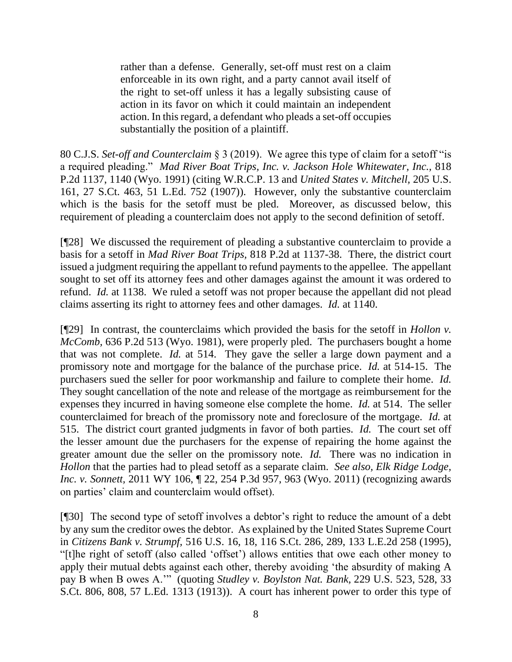rather than a defense. Generally, set-off must rest on a claim enforceable in its own right, and a party cannot avail itself of the right to set-off unless it has a legally subsisting cause of action in its favor on which it could maintain an independent action. In this regard, a defendant who pleads a set-off occupies substantially the position of a plaintiff.

80 C.J.S. *Set-off and Counterclaim* § 3 (2019). We agree this type of claim for a setoff "is a required pleading." *Mad River Boat Trips, Inc. v. Jackson Hole Whitewater, Inc.,* 818 P.2d 1137, 1140 (Wyo. 1991) (citing W.R.C.P. 13 and *United States v. Mitchell,* 205 U.S. 161, 27 S.Ct. 463, 51 L.Ed. 752 (1907)). However, only the substantive counterclaim which is the basis for the setoff must be pled. Moreover, as discussed below, this requirement of pleading a counterclaim does not apply to the second definition of setoff.

[¶28] We discussed the requirement of pleading a substantive counterclaim to provide a basis for a setoff in *Mad River Boat Trips,* 818 P.2d at 1137-38. There, the district court issued a judgment requiring the appellant to refund payments to the appellee. The appellant sought to set off its attorney fees and other damages against the amount it was ordered to refund. *Id.* at 1138. We ruled a setoff was not proper because the appellant did not plead claims asserting its right to attorney fees and other damages. *Id.* at 1140.

[¶29] In contrast, the counterclaims which provided the basis for the setoff in *Hollon v. McComb,* 636 P.2d 513 (Wyo. 1981), were properly pled. The purchasers bought a home that was not complete. *Id.* at 514. They gave the seller a large down payment and a promissory note and mortgage for the balance of the purchase price. *Id.* at 514-15. The purchasers sued the seller for poor workmanship and failure to complete their home. *Id.*  They sought cancellation of the note and release of the mortgage as reimbursement for the expenses they incurred in having someone else complete the home. *Id.* at 514. The seller counterclaimed for breach of the promissory note and foreclosure of the mortgage. *Id.* at 515. The district court granted judgments in favor of both parties. *Id.* The court set off the lesser amount due the purchasers for the expense of repairing the home against the greater amount due the seller on the promissory note. *Id.* There was no indication in *Hollon* that the parties had to plead setoff as a separate claim. *See also, Elk Ridge Lodge, Inc. v. Sonnett,* 2011 WY 106,  $\sqrt{22}$ , 254 P.3d 957, 963 (Wyo. 2011) (recognizing awards on parties' claim and counterclaim would offset).

[¶30] The second type of setoff involves a debtor's right to reduce the amount of a debt by any sum the creditor owes the debtor. As explained by the United States Supreme Court in *Citizens Bank v. Strumpf,* 516 U.S. 16, 18, 116 S.Ct. 286, 289, 133 L.E.2d 258 (1995), "[t]he right of setoff (also called 'offset') allows entities that owe each other money to apply their mutual debts against each other, thereby avoiding 'the absurdity of making A pay B when B owes A.'" (quoting *Studley v. Boylston Nat. Bank,* 229 U.S. 523, 528, 33 S.Ct. 806, 808, 57 L.Ed. 1313 (1913)). A court has inherent power to order this type of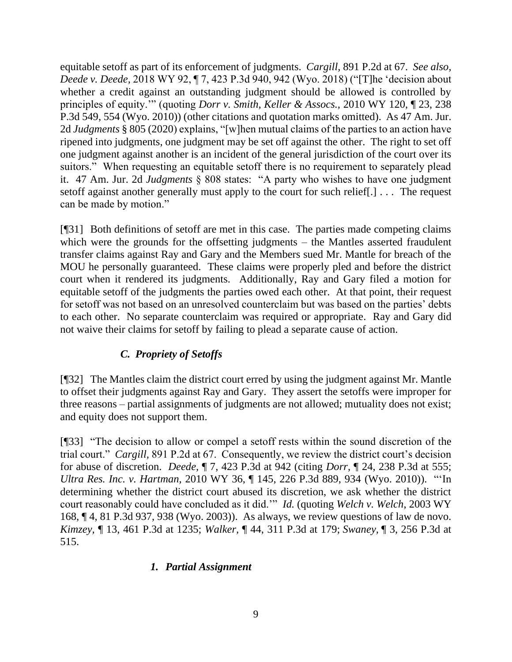equitable setoff as part of its enforcement of judgments. *Cargill,* 891 P.2d at 67. *See also, Deede v. Deede,* 2018 WY 92, ¶ 7, 423 P.3d 940, 942 (Wyo. 2018) ("[T]he 'decision about whether a credit against an outstanding judgment should be allowed is controlled by principles of equity.'" (quoting *Dorr v. Smith, Keller & Assocs.,* 2010 WY 120, ¶ 23, 238 P.3d 549, 554 (Wyo. 2010)) (other citations and quotation marks omitted). As 47 Am. Jur. 2d *Judgments* § 805 (2020) explains, "[w]hen mutual claims of the parties to an action have ripened into judgments, one judgment may be set off against the other. The right to set off one judgment against another is an incident of the general jurisdiction of the court over its suitors." When requesting an equitable setoff there is no requirement to separately plead it. 47 Am. Jur. 2d *Judgments* § 808 states: "A party who wishes to have one judgment setoff against another generally must apply to the court for such relief[.] . . . The request can be made by motion."

[¶31] Both definitions of setoff are met in this case. The parties made competing claims which were the grounds for the offsetting judgments – the Mantles asserted fraudulent transfer claims against Ray and Gary and the Members sued Mr. Mantle for breach of the MOU he personally guaranteed. These claims were properly pled and before the district court when it rendered its judgments. Additionally, Ray and Gary filed a motion for equitable setoff of the judgments the parties owed each other. At that point, their request for setoff was not based on an unresolved counterclaim but was based on the parties' debts to each other. No separate counterclaim was required or appropriate. Ray and Gary did not waive their claims for setoff by failing to plead a separate cause of action.

# *C. Propriety of Setoffs*

[¶32] The Mantles claim the district court erred by using the judgment against Mr. Mantle to offset their judgments against Ray and Gary. They assert the setoffs were improper for three reasons – partial assignments of judgments are not allowed; mutuality does not exist; and equity does not support them.

[¶33] "The decision to allow or compel a setoff rests within the sound discretion of the trial court." *Cargill,* 891 P.2d at 67. Consequently, we review the district court's decision for abuse of discretion. *Deede,* ¶ 7, 423 P.3d at 942 (citing *Dorr,* ¶ 24, 238 P.3d at 555; *Ultra Res. Inc. v. Hartman,* 2010 WY 36, ¶ 145, 226 P.3d 889, 934 (Wyo. 2010)). "'In determining whether the district court abused its discretion, we ask whether the district court reasonably could have concluded as it did.'" *Id.* (quoting *Welch v. Welch*, 2003 WY 168, ¶ 4, 81 P.3d 937, 938 (Wyo. 2003)). As always, we review questions of law de novo. *Kimzey,* ¶ 13, 461 P.3d at 1235; *Walker,* ¶ 44, 311 P.3d at 179; *Swaney,* ¶ 3, 256 P.3d at 515.

# *1. Partial Assignment*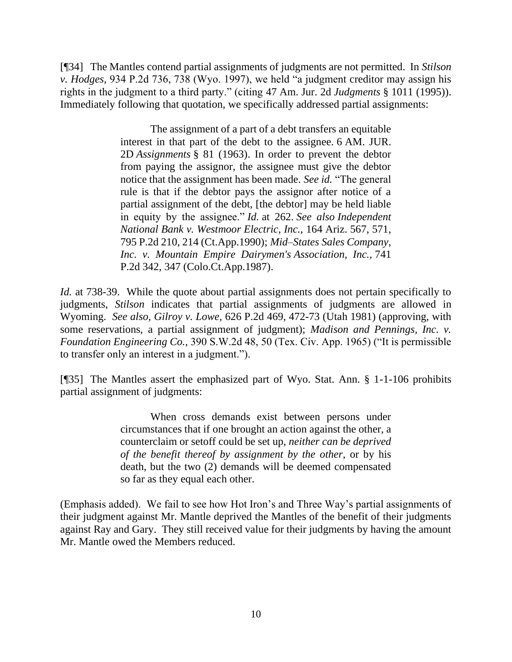[¶34] The Mantles contend partial assignments of judgments are not permitted. In *Stilson v. Hodges,* 934 P.2d 736, 738 (Wyo. 1997), we held "a judgment creditor may assign his rights in the judgment to a third party." (citing 47 Am. Jur. 2d *Judgments* § 1011 (1995)). Immediately following that quotation, we specifically addressed partial assignments:

> The assignment of a part of a debt transfers an equitable interest in that part of the debt to the assignee. 6 AM. JUR. 2D *Assignments* § 81 (1963). In order to prevent the debtor from paying the assignor, the assignee must give the debtor notice that the assignment has been made. *See id.* "The general rule is that if the debtor pays the assignor after notice of a partial assignment of the debt, [the debtor] may be held liable in equity by the assignee." *Id.* at 262. *See also Independent National Bank v. Westmoor Electric, Inc.,* 164 Ariz. 567, 571, 795 P.2d 210, 214 (Ct.App.1990); *Mid–States Sales Company, Inc. v. Mountain Empire Dairymen's Association, Inc.,* 741 P.2d 342, 347 (Colo.Ct.App.1987).

*Id.* at 738-39. While the quote about partial assignments does not pertain specifically to judgments, *Stilson* indicates that partial assignments of judgments are allowed in Wyoming. *See also, Gilroy v. Lowe,* 626 P.2d 469, 472-73 (Utah 1981) (approving, with some reservations, a partial assignment of judgment); *Madison and Pennings, Inc. v. Foundation Engineering Co.,* 390 S.W.2d 48, 50 (Tex. Civ. App. 1965) ("It is permissible to transfer only an interest in a judgment.").

[¶35] The Mantles assert the emphasized part of Wyo. Stat. Ann. § 1-1-106 prohibits partial assignment of judgments:

> When cross demands exist between persons under circumstances that if one brought an action against the other, a counterclaim or setoff could be set up, *neither can be deprived of the benefit thereof by assignment by the other*, or by his death, but the two (2) demands will be deemed compensated so far as they equal each other.

(Emphasis added). We fail to see how Hot Iron's and Three Way's partial assignments of their judgment against Mr. Mantle deprived the Mantles of the benefit of their judgments against Ray and Gary. They still received value for their judgments by having the amount Mr. Mantle owed the Members reduced.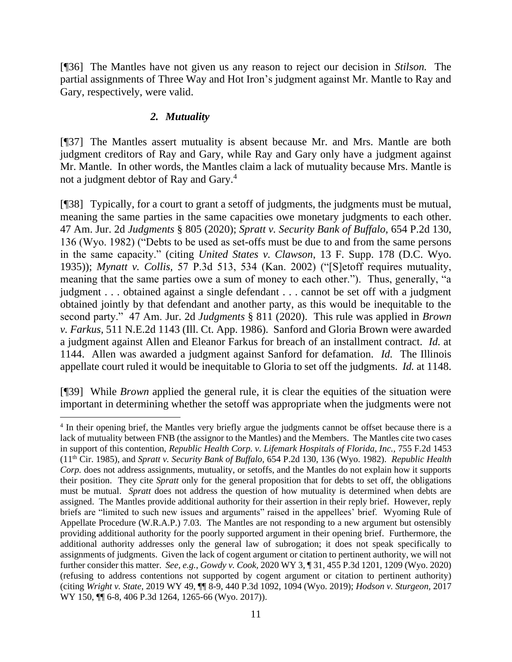[¶36] The Mantles have not given us any reason to reject our decision in *Stilson.* The partial assignments of Three Way and Hot Iron's judgment against Mr. Mantle to Ray and Gary, respectively, were valid.

# *2. Mutuality*

[¶37] The Mantles assert mutuality is absent because Mr. and Mrs. Mantle are both judgment creditors of Ray and Gary, while Ray and Gary only have a judgment against Mr. Mantle. In other words, the Mantles claim a lack of mutuality because Mrs. Mantle is not a judgment debtor of Ray and Gary.<sup>4</sup>

[¶38] Typically, for a court to grant a setoff of judgments, the judgments must be mutual, meaning the same parties in the same capacities owe monetary judgments to each other. 47 Am. Jur. 2d *Judgments* § 805 (2020); *Spratt v. Security Bank of Buffalo,* 654 P.2d 130, 136 (Wyo. 1982) ("Debts to be used as set-offs must be due to and from the same persons in the same capacity." (citing *United States v. Clawson*, 13 F. Supp. 178 (D.C. Wyo. 1935)); *Mynatt v. Collis,* 57 P.3d 513, 534 (Kan. 2002) ("[S]etoff requires mutuality, meaning that the same parties owe a sum of money to each other."). Thus, generally, "a judgment . . . obtained against a single defendant . . . cannot be set off with a judgment obtained jointly by that defendant and another party, as this would be inequitable to the second party." 47 Am. Jur. 2d *Judgments* § 811 (2020). This rule was applied in *Brown v. Farkus,* 511 N.E.2d 1143 (Ill. Ct. App. 1986). Sanford and Gloria Brown were awarded a judgment against Allen and Eleanor Farkus for breach of an installment contract. *Id.* at 1144. Allen was awarded a judgment against Sanford for defamation. *Id.* The Illinois appellate court ruled it would be inequitable to Gloria to set off the judgments. *Id.* at 1148.

[¶39] While *Brown* applied the general rule, it is clear the equities of the situation were important in determining whether the setoff was appropriate when the judgments were not

<sup>&</sup>lt;sup>4</sup> In their opening brief, the Mantles very briefly argue the judgments cannot be offset because there is a lack of mutuality between FNB (the assignor to the Mantles) and the Members. The Mantles cite two cases in support of this contention, *Republic Health Corp. v. Lifemark Hospitals of Florida, Inc.,* 755 F.2d 1453 (11th Cir. 1985), and *Spratt v. Security Bank of Buffalo,* 654 P.2d 130, 136 (Wyo. 1982). *Republic Health Corp.* does not address assignments, mutuality, or setoffs, and the Mantles do not explain how it supports their position. They cite *Spratt* only for the general proposition that for debts to set off, the obligations must be mutual. *Spratt* does not address the question of how mutuality is determined when debts are assigned. The Mantles provide additional authority for their assertion in their reply brief. However, reply briefs are "limited to such new issues and arguments" raised in the appellees' brief. Wyoming Rule of Appellate Procedure (W.R.A.P.) 7.03. The Mantles are not responding to a new argument but ostensibly providing additional authority for the poorly supported argument in their opening brief. Furthermore, the additional authority addresses only the general law of subrogation; it does not speak specifically to assignments of judgments. Given the lack of cogent argument or citation to pertinent authority, we will not further consider this matter. *See, e.g.*, *Gowdy v. Cook,* 2020 WY 3, ¶ 31, 455 P.3d 1201, 1209 (Wyo. 2020) (refusing to address contentions not supported by cogent argument or citation to pertinent authority) (citing *Wright v. State,* 2019 WY 49, ¶¶ 8-9, 440 P.3d 1092, 1094 (Wyo. 2019); *Hodson v. Sturgeon,* 2017 WY 150, ¶¶ 6-8, 406 P.3d 1264, 1265-66 (Wyo. 2017)).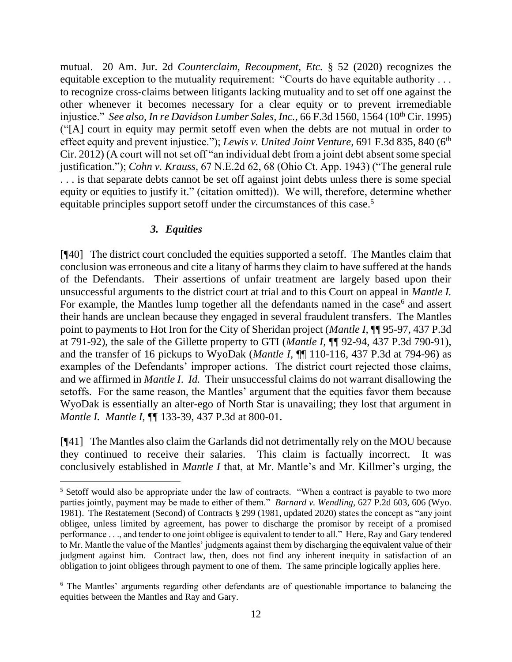mutual. 20 Am. Jur. 2d *Counterclaim, Recoupment, Etc.* § 52 (2020) recognizes the equitable exception to the mutuality requirement: "Courts do have equitable authority . . . to recognize cross-claims between litigants lacking mutuality and to set off one against the other whenever it becomes necessary for a clear equity or to prevent irremediable injustice." *See also, In re Davidson Lumber Sales, Inc.,* 66 F.3d 1560, 1564 (10<sup>th</sup> Cir. 1995) ("[A] court in equity may permit setoff even when the debts are not mutual in order to effect equity and prevent injustice."); *Lewis v. United Joint Venture*, 691 F.3d 835, 840 (6<sup>th</sup>) Cir. 2012) (A court will not set off "an individual debt from a joint debt absent some special justification."); *Cohn v. Krauss,* 67 N.E.2d 62, 68 (Ohio Ct. App. 1943) ("The general rule . . . is that separate debts cannot be set off against joint debts unless there is some special equity or equities to justify it." (citation omitted)). We will, therefore, determine whether equitable principles support setoff under the circumstances of this case.<sup>5</sup>

# *3. Equities*

[¶40] The district court concluded the equities supported a setoff. The Mantles claim that conclusion was erroneous and cite a litany of harms they claim to have suffered at the hands of the Defendants. Their assertions of unfair treatment are largely based upon their unsuccessful arguments to the district court at trial and to this Court on appeal in *Mantle I.*  For example, the Mantles lump together all the defendants named in the case<sup>6</sup> and assert their hands are unclean because they engaged in several fraudulent transfers. The Mantles point to payments to Hot Iron for the City of Sheridan project (*Mantle I,* ¶¶ 95-97, 437 P.3d at 791-92), the sale of the Gillette property to GTI (*Mantle I,* ¶¶ 92-94, 437 P.3d 790-91), and the transfer of 16 pickups to WyoDak (*Mantle I,* ¶¶ 110-116, 437 P.3d at 794-96) as examples of the Defendants' improper actions. The district court rejected those claims, and we affirmed in *Mantle I*. *Id.* Their unsuccessful claims do not warrant disallowing the setoffs. For the same reason, the Mantles' argument that the equities favor them because WyoDak is essentially an alter-ego of North Star is unavailing; they lost that argument in *Mantle I. Mantle I,* ¶¶ 133-39, 437 P.3d at 800-01.

[¶41] The Mantles also claim the Garlands did not detrimentally rely on the MOU because they continued to receive their salaries. This claim is factually incorrect. It was conclusively established in *Mantle I* that, at Mr. Mantle's and Mr. Killmer's urging, the

<sup>&</sup>lt;sup>5</sup> Setoff would also be appropriate under the law of contracts. "When a contract is payable to two more parties jointly, payment may be made to either of them." *Barnard v. Wendling,* 627 P.2d 603, 606 (Wyo. 1981). The Restatement (Second) of Contracts § 299 (1981, updated 2020) states the concept as "any joint obligee, unless limited by agreement, has power to discharge the promisor by receipt of a promised performance . . ., and tender to one joint obligee is equivalent to tender to all." Here, Ray and Gary tendered to Mr. Mantle the value of the Mantles' judgments against them by discharging the equivalent value of their judgment against him. Contract law, then, does not find any inherent inequity in satisfaction of an obligation to joint obligees through payment to one of them. The same principle logically applies here.

<sup>6</sup> The Mantles' arguments regarding other defendants are of questionable importance to balancing the equities between the Mantles and Ray and Gary.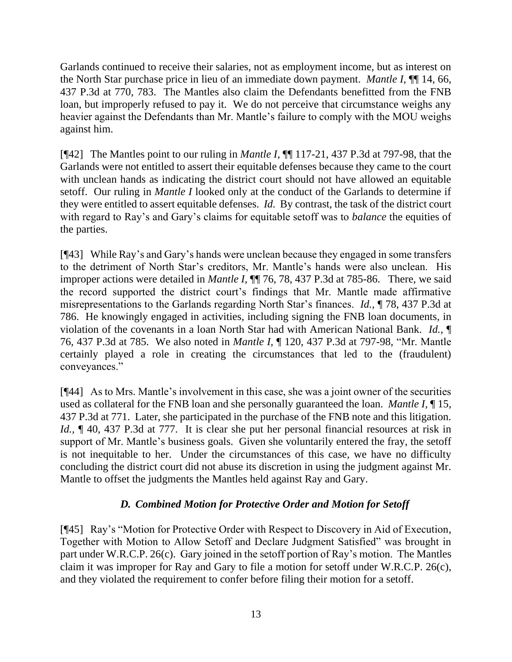Garlands continued to receive their salaries, not as employment income, but as interest on the North Star purchase price in lieu of an immediate down payment. *Mantle I,* ¶¶ 14, 66, 437 P.3d at 770, 783. The Mantles also claim the Defendants benefitted from the FNB loan, but improperly refused to pay it. We do not perceive that circumstance weighs any heavier against the Defendants than Mr. Mantle's failure to comply with the MOU weighs against him.

[¶42] The Mantles point to our ruling in *Mantle I,* ¶¶ 117-21, 437 P.3d at 797-98, that the Garlands were not entitled to assert their equitable defenses because they came to the court with unclean hands as indicating the district court should not have allowed an equitable setoff. Our ruling in *Mantle I* looked only at the conduct of the Garlands to determine if they were entitled to assert equitable defenses. *Id.* By contrast, the task of the district court with regard to Ray's and Gary's claims for equitable setoff was to *balance* the equities of the parties.

[¶43] While Ray's and Gary's hands were unclean because they engaged in some transfers to the detriment of North Star's creditors, Mr. Mantle's hands were also unclean. His improper actions were detailed in *Mantle I*, **[1]** 76, 78, 437 P.3d at 785-86. There, we said the record supported the district court's findings that Mr. Mantle made affirmative misrepresentations to the Garlands regarding North Star's finances. *Id.,* ¶ 78, 437 P.3d at 786. He knowingly engaged in activities, including signing the FNB loan documents, in violation of the covenants in a loan North Star had with American National Bank. *Id.*, ¶ 76, 437 P.3d at 785.We also noted in *Mantle I,* ¶ 120, 437 P.3d at 797-98, "Mr. Mantle certainly played a role in creating the circumstances that led to the (fraudulent) conveyances."

[¶44] As to Mrs. Mantle's involvement in this case, she was a joint owner of the securities used as collateral for the FNB loan and she personally guaranteed the loan. *Mantle I,* ¶ 15, 437 P.3d at 771. Later, she participated in the purchase of the FNB note and this litigation. *Id.*, **[40, 437 P.3d at 777.** It is clear she put her personal financial resources at risk in support of Mr. Mantle's business goals. Given she voluntarily entered the fray, the setoff is not inequitable to her. Under the circumstances of this case, we have no difficulty concluding the district court did not abuse its discretion in using the judgment against Mr. Mantle to offset the judgments the Mantles held against Ray and Gary.

# *D. Combined Motion for Protective Order and Motion for Setoff*

[¶45] Ray's "Motion for Protective Order with Respect to Discovery in Aid of Execution, Together with Motion to Allow Setoff and Declare Judgment Satisfied" was brought in part under W.R.C.P. 26(c). Gary joined in the setoff portion of Ray's motion. The Mantles claim it was improper for Ray and Gary to file a motion for setoff under W.R.C.P. 26(c), and they violated the requirement to confer before filing their motion for a setoff.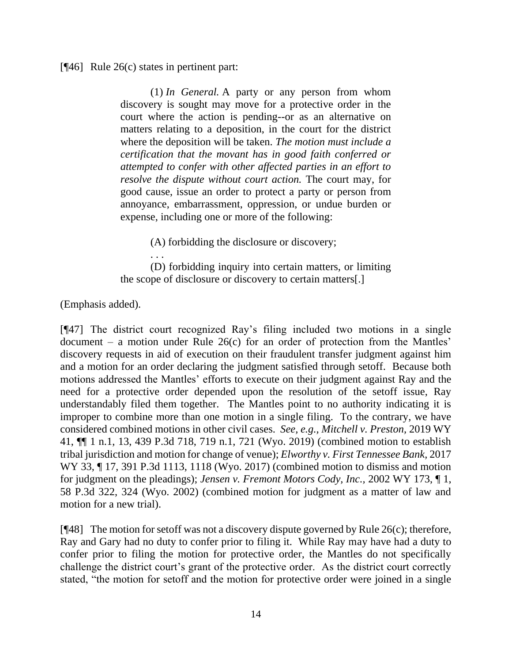[¶46] Rule 26(c) states in pertinent part:

(1) *In General.* A party or any person from whom discovery is sought may move for a protective order in the court where the action is pending--or as an alternative on matters relating to a deposition, in the court for the district where the deposition will be taken. *The motion must include a certification that the movant has in good faith conferred or attempted to confer with other affected parties in an effort to resolve the dispute without court action.* The court may, for good cause, issue an order to protect a party or person from annoyance, embarrassment, oppression, or undue burden or expense, including one or more of the following:

(A) forbidding the disclosure or discovery;

. . . (D) forbidding inquiry into certain matters, or limiting the scope of disclosure or discovery to certain matters[.]

(Emphasis added).

[¶47] The district court recognized Ray's filing included two motions in a single document – a motion under Rule 26(c) for an order of protection from the Mantles' discovery requests in aid of execution on their fraudulent transfer judgment against him and a motion for an order declaring the judgment satisfied through setoff. Because both motions addressed the Mantles' efforts to execute on their judgment against Ray and the need for a protective order depended upon the resolution of the setoff issue, Ray understandably filed them together. The Mantles point to no authority indicating it is improper to combine more than one motion in a single filing. To the contrary, we have considered combined motions in other civil cases. *See, e.g., Mitchell v. Preston,* 2019 WY 41, ¶¶ 1 n.1, 13, 439 P.3d 718, 719 n.1, 721 (Wyo. 2019) (combined motion to establish tribal jurisdiction and motion for change of venue); *Elworthy v. First Tennessee Bank,* 2017 WY 33, ¶ 17, 391 P.3d 1113, 1118 (Wyo. 2017) (combined motion to dismiss and motion for judgment on the pleadings); *Jensen v. Fremont Motors Cody, Inc.,* 2002 WY 173, ¶ 1, 58 P.3d 322, 324 (Wyo. 2002) (combined motion for judgment as a matter of law and motion for a new trial).

[ $[48]$ ] The motion for setoff was not a discovery dispute governed by Rule 26(c); therefore, Ray and Gary had no duty to confer prior to filing it. While Ray may have had a duty to confer prior to filing the motion for protective order, the Mantles do not specifically challenge the district court's grant of the protective order. As the district court correctly stated, "the motion for setoff and the motion for protective order were joined in a single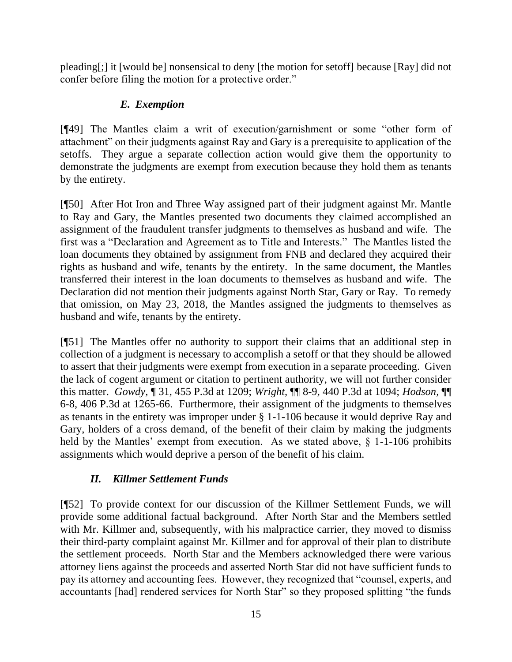pleading[;] it [would be] nonsensical to deny [the motion for setoff] because [Ray] did not confer before filing the motion for a protective order."

# *E. Exemption*

[¶49] The Mantles claim a writ of execution/garnishment or some "other form of attachment" on their judgments against Ray and Gary is a prerequisite to application of the setoffs. They argue a separate collection action would give them the opportunity to demonstrate the judgments are exempt from execution because they hold them as tenants by the entirety.

[¶50] After Hot Iron and Three Way assigned part of their judgment against Mr. Mantle to Ray and Gary, the Mantles presented two documents they claimed accomplished an assignment of the fraudulent transfer judgments to themselves as husband and wife. The first was a "Declaration and Agreement as to Title and Interests." The Mantles listed the loan documents they obtained by assignment from FNB and declared they acquired their rights as husband and wife, tenants by the entirety. In the same document, the Mantles transferred their interest in the loan documents to themselves as husband and wife. The Declaration did not mention their judgments against North Star, Gary or Ray. To remedy that omission, on May 23, 2018, the Mantles assigned the judgments to themselves as husband and wife, tenants by the entirety.

[¶51] The Mantles offer no authority to support their claims that an additional step in collection of a judgment is necessary to accomplish a setoff or that they should be allowed to assert that their judgments were exempt from execution in a separate proceeding. Given the lack of cogent argument or citation to pertinent authority, we will not further consider this matter. *Gowdy,* ¶ 31, 455 P.3d at 1209; *Wright,* ¶¶ 8-9, 440 P.3d at 1094; *Hodson,* ¶¶ 6-8, 406 P.3d at 1265-66. Furthermore, their assignment of the judgments to themselves as tenants in the entirety was improper under § 1-1-106 because it would deprive Ray and Gary, holders of a cross demand, of the benefit of their claim by making the judgments held by the Mantles' exempt from execution. As we stated above,  $\S$  1-1-106 prohibits assignments which would deprive a person of the benefit of his claim.

# *II. Killmer Settlement Funds*

[¶52] To provide context for our discussion of the Killmer Settlement Funds, we will provide some additional factual background. After North Star and the Members settled with Mr. Killmer and, subsequently, with his malpractice carrier, they moved to dismiss their third-party complaint against Mr. Killmer and for approval of their plan to distribute the settlement proceeds. North Star and the Members acknowledged there were various attorney liens against the proceeds and asserted North Star did not have sufficient funds to pay its attorney and accounting fees. However, they recognized that "counsel, experts, and accountants [had] rendered services for North Star" so they proposed splitting "the funds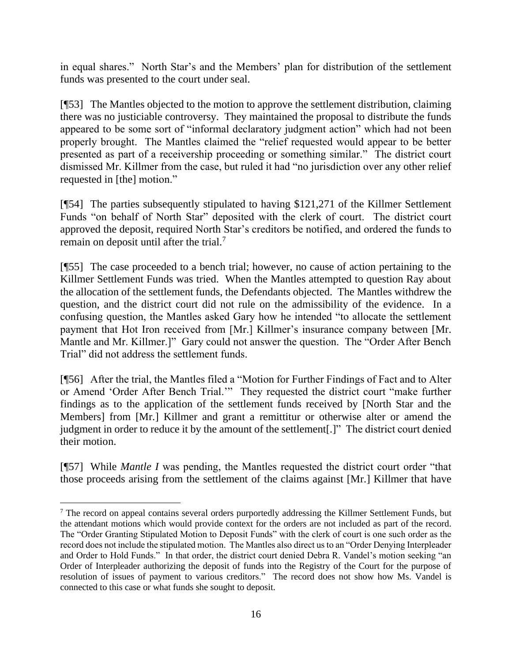in equal shares." North Star's and the Members' plan for distribution of the settlement funds was presented to the court under seal.

[¶53] The Mantles objected to the motion to approve the settlement distribution, claiming there was no justiciable controversy. They maintained the proposal to distribute the funds appeared to be some sort of "informal declaratory judgment action" which had not been properly brought. The Mantles claimed the "relief requested would appear to be better presented as part of a receivership proceeding or something similar." The district court dismissed Mr. Killmer from the case, but ruled it had "no jurisdiction over any other relief requested in [the] motion."

[¶54] The parties subsequently stipulated to having \$121,271 of the Killmer Settlement Funds "on behalf of North Star" deposited with the clerk of court. The district court approved the deposit, required North Star's creditors be notified, and ordered the funds to remain on deposit until after the trial.<sup>7</sup>

[¶55] The case proceeded to a bench trial; however, no cause of action pertaining to the Killmer Settlement Funds was tried. When the Mantles attempted to question Ray about the allocation of the settlement funds, the Defendants objected. The Mantles withdrew the question, and the district court did not rule on the admissibility of the evidence. In a confusing question, the Mantles asked Gary how he intended "to allocate the settlement payment that Hot Iron received from [Mr.] Killmer's insurance company between [Mr. Mantle and Mr. Killmer.]" Gary could not answer the question. The "Order After Bench Trial" did not address the settlement funds.

[¶56] After the trial, the Mantles filed a "Motion for Further Findings of Fact and to Alter or Amend 'Order After Bench Trial.'" They requested the district court "make further findings as to the application of the settlement funds received by [North Star and the Members] from [Mr.] Killmer and grant a remittitur or otherwise alter or amend the judgment in order to reduce it by the amount of the settlement[.]" The district court denied their motion.

[¶57] While *Mantle I* was pending, the Mantles requested the district court order "that those proceeds arising from the settlement of the claims against [Mr.] Killmer that have

 $<sup>7</sup>$  The record on appeal contains several orders purportedly addressing the Killmer Settlement Funds, but</sup> the attendant motions which would provide context for the orders are not included as part of the record. The "Order Granting Stipulated Motion to Deposit Funds" with the clerk of court is one such order as the record does not include the stipulated motion. The Mantles also direct us to an "Order Denying Interpleader and Order to Hold Funds." In that order, the district court denied Debra R. Vandel's motion seeking "an Order of Interpleader authorizing the deposit of funds into the Registry of the Court for the purpose of resolution of issues of payment to various creditors." The record does not show how Ms. Vandel is connected to this case or what funds she sought to deposit.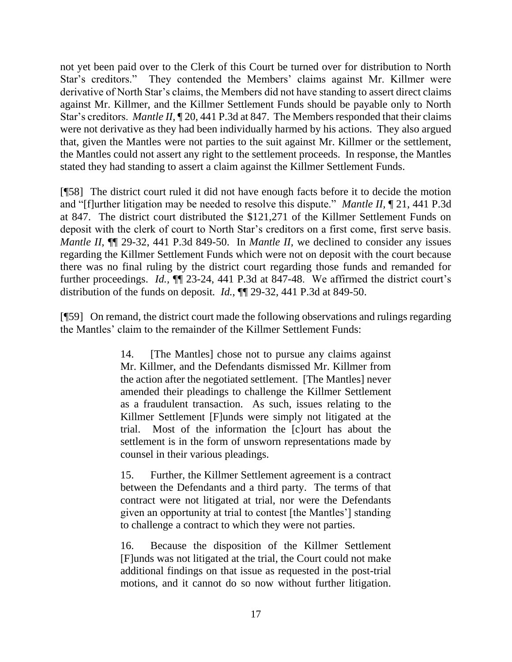not yet been paid over to the Clerk of this Court be turned over for distribution to North Star's creditors." They contended the Members' claims against Mr. Killmer were derivative of North Star's claims, the Members did not have standing to assert direct claims against Mr. Killmer, and the Killmer Settlement Funds should be payable only to North Star's creditors. *Mantle II,* ¶ 20, 441 P.3d at 847. The Members responded that their claims were not derivative as they had been individually harmed by his actions. They also argued that, given the Mantles were not parties to the suit against Mr. Killmer or the settlement, the Mantles could not assert any right to the settlement proceeds. In response, the Mantles stated they had standing to assert a claim against the Killmer Settlement Funds.

[¶58] The district court ruled it did not have enough facts before it to decide the motion and "[f]urther litigation may be needed to resolve this dispute." *Mantle II,* ¶ 21, 441 P.3d at 847. The district court distributed the \$121,271 of the Killmer Settlement Funds on deposit with the clerk of court to North Star's creditors on a first come, first serve basis. *Mantle II,* ¶¶ 29-32, 441 P.3d 849-50. In *Mantle II,* we declined to consider any issues regarding the Killmer Settlement Funds which were not on deposit with the court because there was no final ruling by the district court regarding those funds and remanded for further proceedings. *Id.*,  $\P$  23-24, 441 P.3d at 847-48. We affirmed the district court's distribution of the funds on deposit*. Id.*, ¶¶ 29-32, 441 P.3d at 849-50.

[¶59] On remand, the district court made the following observations and rulings regarding the Mantles' claim to the remainder of the Killmer Settlement Funds:

> 14. [The Mantles] chose not to pursue any claims against Mr. Killmer, and the Defendants dismissed Mr. Killmer from the action after the negotiated settlement. [The Mantles] never amended their pleadings to challenge the Killmer Settlement as a fraudulent transaction. As such, issues relating to the Killmer Settlement [F]unds were simply not litigated at the trial. Most of the information the [c]ourt has about the settlement is in the form of unsworn representations made by counsel in their various pleadings.

> 15. Further, the Killmer Settlement agreement is a contract between the Defendants and a third party. The terms of that contract were not litigated at trial, nor were the Defendants given an opportunity at trial to contest [the Mantles'] standing to challenge a contract to which they were not parties.

> 16. Because the disposition of the Killmer Settlement [F]unds was not litigated at the trial, the Court could not make additional findings on that issue as requested in the post-trial motions, and it cannot do so now without further litigation.